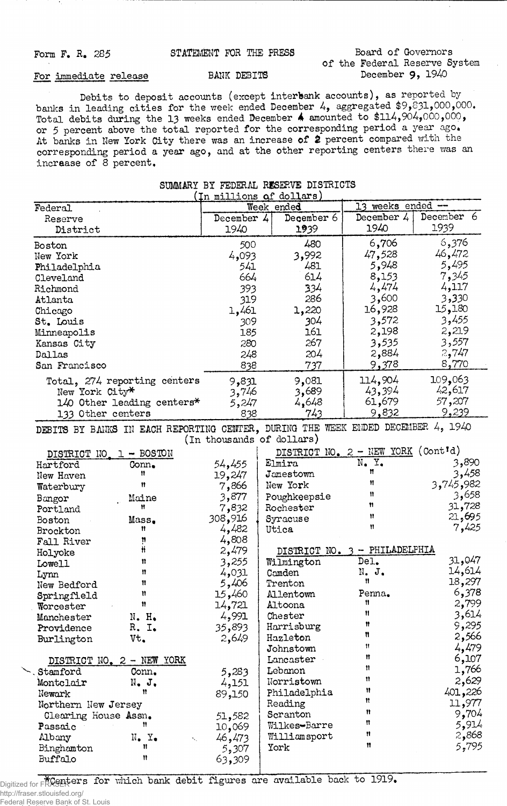## Form F. R. 285 STATEMENT FOR THE PRESS Board of Governors **of the Federal Reserve System**

## For immediate release BANK DEBITS

**Debits to deposit accounts (except interbank accounts), as reported by banks in leading cities for the week ended December 4, aggregated** \$9,£>31,000,000. **Total debits during the 13 weeks ended December 4 amounted to \$114,904,000,000, or 5 percent above the total reported for the corresponding period a year ago\* At banks in New York City there was an increase of** *&* **percent compared with the corresponding period a year ago, and at the other reporting centers there was an increase of 8 percent.**

|                                             |                                                                                  |            | (In millions of dollars)  |                                    |            |
|---------------------------------------------|----------------------------------------------------------------------------------|------------|---------------------------|------------------------------------|------------|
| Federal                                     |                                                                                  | Week ended |                           | 13 weeks ended -                   |            |
| Reserve                                     |                                                                                  | December 4 | December 6                | December 4                         | December 6 |
| District                                    |                                                                                  | 1940       | 1939                      | 1940                               | 1939       |
| <b>Boston</b>                               |                                                                                  | 500        | 480                       | 6,706                              | 6,376      |
| New York                                    |                                                                                  | 4,093      | 3,992                     | 47,528                             | 46,472     |
|                                             |                                                                                  | 541        | 481                       | 5,948                              | 5,495      |
| Philadelphia                                |                                                                                  | 664        | 614                       | 8,153                              | 7,345      |
| Cleveland                                   |                                                                                  |            |                           | 4,474                              | 4,117      |
| Richmond                                    |                                                                                  | 393        | 334                       |                                    |            |
| Atlanta                                     |                                                                                  | 319        | 286                       | 3,600                              | 3,330      |
| Chicago                                     |                                                                                  | 1,461      | 1,220                     | 16,928                             | 15,180     |
| St. Louis                                   |                                                                                  | 309        | 304                       | 3,572                              | 3,455      |
| Minneapolis                                 |                                                                                  | 185        | 161                       | 2,198                              | 2,219      |
| Kansas City                                 |                                                                                  | 280        | 267                       | 3,535                              | 3,557      |
| Dallas                                      |                                                                                  | 248        | 204                       | 2,884                              | 2,747      |
| San Francisco                               |                                                                                  | 838        | 737                       | 9,378                              | 8,770      |
|                                             | Total, 274 reporting centers                                                     | 9,831      | 9,081                     | 114,904                            | 109,063    |
| New York City*                              |                                                                                  | 3,746      | 3,689                     | 43,394                             | 42,617     |
|                                             | 140 Other leading centers*                                                       | 5,247      | 4,648                     | 61,679                             | 57,207     |
| 133 Other centers                           |                                                                                  | 838        | 743                       | 9,832                              | 9,239      |
|                                             |                                                                                  |            |                           |                                    |            |
|                                             | DEBITS BY BANKS IN EACH REPORTING CENTER, DURING THE WEEK ENDED DECEMBER 4, 1940 |            |                           |                                    |            |
|                                             |                                                                                  |            | (In thousands of dollars) |                                    |            |
| DISTRICT NO                                 | $-$ BOSTON<br>$\mathbb{L}$                                                       |            |                           | DISTRICT NO. 2 - NEW YORK (Cont'd) |            |
| Hartford                                    | Conn.                                                                            | 54,455     | Elmira                    | $N_{\bullet}$ $Y_{\bullet}$        | 3,890      |
| New Haven                                   | Ħ                                                                                | 19,247     | Jamestown                 | Ħ                                  | 3,458      |
| Waterbury                                   | n                                                                                | 7,866      | New York                  | Ħ                                  | 3,745,982  |
| Bangor                                      | Maine                                                                            | 3,877      | Poughkeepsie              | n                                  | 3,658      |
| Portland                                    | Ħ                                                                                | 7,832      | Rochester                 | Ħ                                  | 31,728     |
| <b>Boston</b>                               | Mass.                                                                            | 308,916    | Syracuse                  | Ħ                                  | 21,695     |
| <b>Brockton</b>                             | Ħ                                                                                | 4,482      | Utica                     | n                                  | 7,425      |
| Fall River                                  | ņ                                                                                | 4,808      |                           |                                    |            |
| Holyoke                                     | Ħ                                                                                | 2,479      |                           | DISTRICT NO. 3 - PHILADELPHIA      |            |
| Lowell                                      | 11                                                                               | 3,255      | Wilmington                | Del.                               | 31,047     |
| Lynn                                        | Ħ                                                                                | 4,031      | Camden                    | N. J.                              | 14,614     |
| New Bedford                                 | 11                                                                               | 5,406      | Trenton                   | n                                  | 18,297     |
| Springfield                                 | Ħ                                                                                | 15,460     | Allentown                 | Penna.                             | 6,378      |
| Worcester                                   | Ħ                                                                                | 14,721     | Altoona                   | Ħ                                  | 2,799      |
| Manchester                                  | $N_{\bullet}$ $H_{\bullet}$                                                      | 4,991      | Chester                   | Ħ                                  | 3,614      |
| Providence                                  | R. I.                                                                            | 35,893     | Harrisburg                | Ħ                                  | 9,295      |
| Burlington                                  | Vt.                                                                              | 2,649      | Hazleton                  | n                                  | 2,566      |
|                                             |                                                                                  |            | Johnstown                 | Ħ                                  | 4,479      |
|                                             | DISTRICT NO. 2 - NEW YORK                                                        |            | Lancaster                 | Ħ                                  | 6,107      |
| Stamford                                    | Conn.                                                                            | 5,283      | Lebanon                   | Ħ                                  | 1,766      |
| Montclair                                   | N. J.                                                                            | 4,151      | Norristown                | Ħ                                  | 2,629      |
| Newark                                      | Ħ                                                                                | 89,150     | Philadelphia              | Ħ                                  | 401,226    |
|                                             |                                                                                  |            | Reading                   | n                                  | 11,977     |
| Northern New Jersey<br>Clearing House Assn. |                                                                                  |            | Scranton                  | n                                  | 9,704      |
|                                             | Ħ                                                                                | 51,582     | Wilkes-Barre              | n                                  | 5,914      |
| Passaic                                     |                                                                                  | 10,069     |                           | n                                  | 2,868      |
| Albany                                      | $N_{\bullet}$ $Y_{\bullet}$<br>Ħ                                                 | 46,473     | Williamsport              | Ħ                                  | 5,795      |
| Binghamton                                  |                                                                                  | 5,307      | York                      |                                    |            |
| Buffalo                                     | Ħ                                                                                | 63,309     |                           |                                    |            |

**SUMMARY BY FEDERAL RESERVE DISTRICTS**

Digitized for FRASER for which bank debit figures are available back to 1919. http://fraser.stlouisfed.org/

Federal Reserve Bank of St. Louis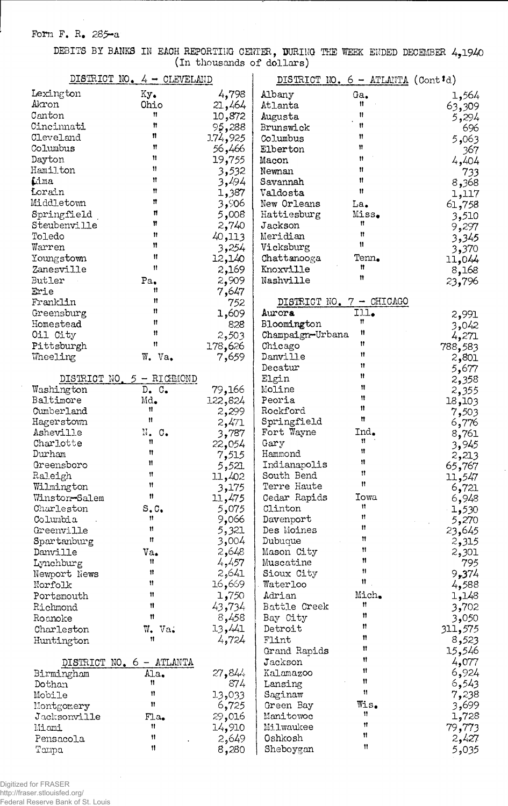**Form F. R. 285-a**

**DEBITS BY BANKS IN EACH REPORTING CENTER, BURING THE WEEK ENDED DECEMBER 4,1940 (in thousands of dollars)**

| DISTRICT NO. $4 - CLEVEL$ AND |                             |                 | DISTRICT NO. 6 - ATLANTA (Contid) |                          |                |  |
|-------------------------------|-----------------------------|-----------------|-----------------------------------|--------------------------|----------------|--|
| Lexington                     | $Ky_{\bullet}$              | 4,798           | Albany                            | Ga.                      | 1,564          |  |
| Akron                         | Ohio                        | 21,464          | Atlanta                           | Ħ                        | 63,309         |  |
| Canton                        | Ħ                           | 10,872          | Augusta                           | Ħ                        | 5,294          |  |
| Cincinnati                    | Ħ                           | 95,288          | Brunswick                         | Ħ                        | 696            |  |
| Cleveland                     | n                           | 1.74,925        | Columbus                          | Ħ                        | 5,063          |  |
| Columbus                      | Ħ                           | 56,466          | Elberton                          | Ħ                        | 367.           |  |
| Dayton                        | Ħ                           | 19,755          | Macon                             | 11                       | 4,404          |  |
| Hamilton                      | Ħ                           | 3,532           | Newnan                            | Ħ                        | 733            |  |
| Lima                          | n                           | 3,494           | Savannah                          | Ħ                        | 8,368          |  |
| Lorain                        | Ħ                           | 1,387           | Valdosta                          | 11                       | 1,117          |  |
| Middletown                    | n                           | 906و3           | New Orleans                       | La.                      | 61,758         |  |
| Springfield                   | n                           | 5,008           | Hattiesburg                       | Miss.                    | 3,510          |  |
| Steubenville                  | Ħ                           | 2,740           | Jackson                           | n                        | 9,297          |  |
| Toledo                        | Ħ                           | 40,113          | Meridian                          | Ħ                        | 3,345          |  |
| Warren                        | Ħ                           | 3,254           | Vicksburg                         | 11                       | 3,370          |  |
| Youngstown                    | Ħ                           | 12,140          | Chattanooga                       | Tenn.                    | 11,044         |  |
| Zanesville                    | Ħ                           | 2,169           | Knoxville                         | Ħ                        | 8,168          |  |
| Butler                        | Pa.                         | 2,909           | Nashville                         | n                        | 23,796         |  |
| Erie                          | Ħ                           | 7,647           |                                   |                          |                |  |
| Franklin                      | Ħ                           | 752             |                                   | DISTRICT NO. 7 - CHICAGO |                |  |
| Greensburg                    | n                           | 1,609           | Aurora                            | III.                     | 2,991          |  |
| Homestead                     | Ħ                           | 828             | Bloomington                       | Ħ                        | 3,042          |  |
| Oil City                      | n                           | 2,503           | Champaign-Urbana                  | Ħ                        | 4,271          |  |
| Pittsburgh                    | Ħ                           | 178,626         | Chicago                           | Ħ                        | 788,583        |  |
| Wheeling                      | W. Va.                      | 7,659           | Danville                          | Ħ                        | 2,801          |  |
|                               |                             |                 | Decatur                           | Ħ                        | 5,677          |  |
|                               | DISTRICT NO. 5 - RICHMOND   |                 | Elgin                             | Ħ                        | 2,358          |  |
| Washington                    | $D_{\bullet}$ $C_{\bullet}$ | 79,166          | Moline                            | Ħ<br>n                   | 2,355          |  |
| Baltimore                     | Md.                         | 122,824         | Peoria                            | Ħ                        | 18,103         |  |
| Cumberland                    | Ħ<br>Ħ                      | 2,299           | Rockford                          | Ħ                        | 7,503          |  |
| Hagerstown                    |                             | 2,471           | Springfield                       |                          | 6,776          |  |
| Asheville                     | N. C.<br>n                  | 3,787           | Fort Wayne                        | Ind.<br>Ħ                | 8,761          |  |
| Charlotte<br>Durham           | n                           | 22,054          | Gary<br>Hammond                   | 11                       | 3,945          |  |
| Greensboro                    | Ħ                           | 7,515           | Indianapolis                      | n                        | 2,213          |  |
| Raleigh                       | Ħ                           | 5,521           | South Bend                        | 11.                      | 65,767         |  |
| Wilmington                    | Ħ                           | 11,402          | Terre Haute                       | $\mathbf{H}$             | 11,547         |  |
| Winston-Salem                 | $\mathbf{H}$                | 3,175<br>11,475 | Cedar Rapids                      | <b>Iowa</b>              | 6,721          |  |
| Charleston                    | S, C                        | 5,075           | Clinton                           | Ħ                        | 6,948<br>1,530 |  |
| Columbia                      | Ħ                           | 9,066           | Davenport                         | Ħ                        | 5,270          |  |
| Greenville                    | 11                          | 5,321           | Des Moines                        | Ħ                        | 23,645         |  |
| Spartanburg                   | Ħ                           | 3,004           | Dubuque                           | Ħ                        | 2,315          |  |
| Danville                      | $Va_{\bullet}$              | 2,648           | Mason City                        | Ħ                        | 2,301          |  |
| Lynchburg                     | n                           | 4,457           | Muscatine                         | Ħ                        | 795            |  |
| Newport News                  | n                           | 2,641           | Sioux City                        | 11                       | 9,374          |  |
| Norfolk                       | Ħ                           | 16,669          | Waterloo                          | Ħ                        | 4,588          |  |
| Portsmouth                    | Ħ                           | 1,750           | Adrian                            | Mich.                    | 1,148          |  |
| Richmond                      | 11                          | 43,734          | Battle Creek                      | $^{\bullet}$             | 3,702          |  |
| Roanoke                       | Ħ                           | 8,458           | Bay City                          | Ħ                        | 3,050          |  |
| Charleston                    | W.<br>Va <sub>•</sub>       | 13,441          | Detroit                           | Ħ                        | 311,575        |  |
| Huntington                    | Ħ                           | 4,724           | Flint                             | n                        | 8,523          |  |
|                               |                             |                 | Grand Rapids                      | Ħ                        | 15,546         |  |
| DISTRICT NO. 6 - ATLANTA      |                             |                 | Jackson                           | Ħ                        | 4,077          |  |
| Birmingham                    | Ala.                        | 27,844          | Kalamazoo                         | 11                       | 6,924          |  |
| Dothan                        | n                           | 874             | Lansing                           | Ħ                        | 6,543          |  |
| Mobile                        | Ħ                           | 13,033          | Saginaw                           | $\mathbf{H}$             | 7,238          |  |
| Montgomery                    | Ħ                           | 6,725           | Green Bay                         | Wis.                     | 3,699          |  |
| Jacksonville                  | FA.                         | 29,016          | Manitowoc                         | 11                       | 1,728          |  |
| Miami                         | Ħ                           | 14,910          | Milwaukee                         | Ħ                        | 79,773         |  |
| Pensacola                     | 11                          | 2,649           | Oshkosh                           | Ħ                        | 2,427          |  |
| Tampa                         | 11                          | 8,280           | Sheboygan                         | Ħ                        | 5,035          |  |

Digitized for FRASER http://fraser.stlouisfed.org/ Federal Reserve Bank of St. Louis